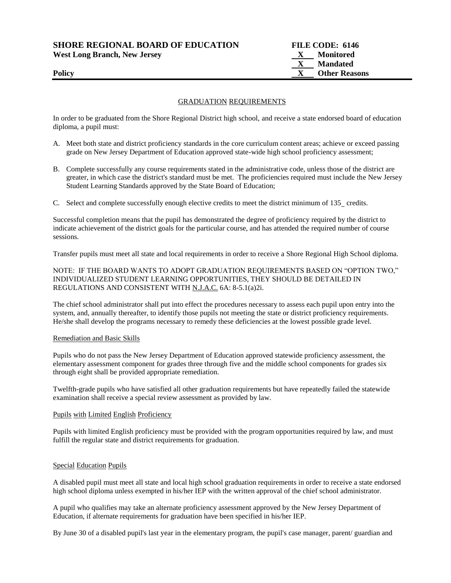**SHORE REGIONAL BOARD OF EDUCATION FILE CODE: 6146 West Long Branch, New Jersey X Monitored**

# **X Mandated Policy COLLEGENS Policy COLLEGENS COLLEGENS COLLEGENS COLLEGENS COLLEGENS COLLEGENS COLLEGENS COLLEGENS**

### GRADUATION REQUIREMENTS

In order to be graduated from the Shore Regional District high school, and receive a state endorsed board of education diploma, a pupil must:

- A. Meet both state and district proficiency standards in the core curriculum content areas; achieve or exceed passing grade on New Jersey Department of Education approved state-wide high school proficiency assessment;
- B. Complete successfully any course requirements stated in the administrative code, unless those of the district are greater, in which case the district's standard must be met. The proficiencies required must include the New Jersey Student Learning Standards approved by the State Board of Education;
- C. Select and complete successfully enough elective credits to meet the district minimum of 135 credits.

Successful completion means that the pupil has demonstrated the degree of proficiency required by the district to indicate achievement of the district goals for the particular course, and has attended the required number of course sessions.

Transfer pupils must meet all state and local requirements in order to receive a Shore Regional High School diploma.

### NOTE: IF THE BOARD WANTS TO ADOPT GRADUATION REQUIREMENTS BASED ON "OPTION TWO," INDIVIDUALIZED STUDENT LEARNING OPPORTUNITIES, THEY SHOULD BE DETAILED IN REGULATIONS AND CONSISTENT WITH N.J.A.C. 6A: 8-5.1(a)2i.

The chief school administrator shall put into effect the procedures necessary to assess each pupil upon entry into the system, and, annually thereafter, to identify those pupils not meeting the state or district proficiency requirements. He/she shall develop the programs necessary to remedy these deficiencies at the lowest possible grade level.

#### Remediation and Basic Skills

Pupils who do not pass the New Jersey Department of Education approved statewide proficiency assessment, the elementary assessment component for grades three through five and the middle school components for grades six through eight shall be provided appropriate remediation.

Twelfth-grade pupils who have satisfied all other graduation requirements but have repeatedly failed the statewide examination shall receive a special review assessment as provided by law.

#### Pupils with Limited English Proficiency

Pupils with limited English proficiency must be provided with the program opportunities required by law, and must fulfill the regular state and district requirements for graduation.

#### Special Education Pupils

A disabled pupil must meet all state and local high school graduation requirements in order to receive a state endorsed high school diploma unless exempted in his/her IEP with the written approval of the chief school administrator.

A pupil who qualifies may take an alternate proficiency assessment approved by the New Jersey Department of Education, if alternate requirements for graduation have been specified in his/her IEP.

By June 30 of a disabled pupil's last year in the elementary program, the pupil's case manager, parent/ guardian and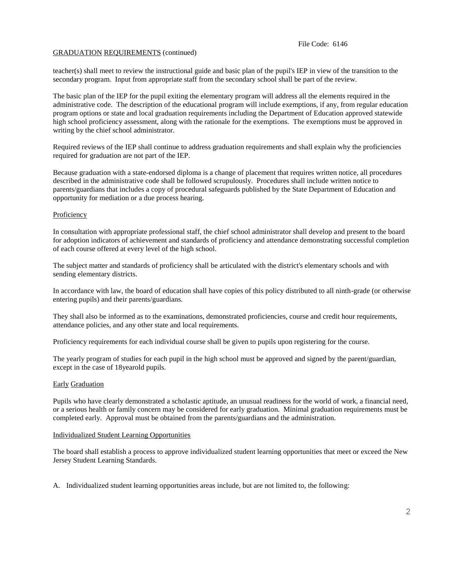teacher(s) shall meet to review the instructional guide and basic plan of the pupil's IEP in view of the transition to the secondary program. Input from appropriate staff from the secondary school shall be part of the review.

The basic plan of the IEP for the pupil exiting the elementary program will address all the elements required in the administrative code. The description of the educational program will include exemptions, if any, from regular education program options or state and local graduation requirements including the Department of Education approved statewide high school proficiency assessment, along with the rationale for the exemptions. The exemptions must be approved in writing by the chief school administrator.

Required reviews of the IEP shall continue to address graduation requirements and shall explain why the proficiencies required for graduation are not part of the IEP.

Because graduation with a state-endorsed diploma is a change of placement that requires written notice, all procedures described in the administrative code shall be followed scrupulously. Procedures shall include written notice to parents/guardians that includes a copy of procedural safeguards published by the State Department of Education and opportunity for mediation or a due process hearing.

#### **Proficiency**

In consultation with appropriate professional staff, the chief school administrator shall develop and present to the board for adoption indicators of achievement and standards of proficiency and attendance demonstrating successful completion of each course offered at every level of the high school.

The subject matter and standards of proficiency shall be articulated with the district's elementary schools and with sending elementary districts.

In accordance with law, the board of education shall have copies of this policy distributed to all ninth-grade (or otherwise entering pupils) and their parents/guardians.

They shall also be informed as to the examinations, demonstrated proficiencies, course and credit hour requirements, attendance policies, and any other state and local requirements.

Proficiency requirements for each individual course shall be given to pupils upon registering for the course.

The yearly program of studies for each pupil in the high school must be approved and signed by the parent/guardian, except in the case of 18yearold pupils.

#### Early Graduation

Pupils who have clearly demonstrated a scholastic aptitude, an unusual readiness for the world of work, a financial need, or a serious health or family concern may be considered for early graduation. Minimal graduation requirements must be completed early. Approval must be obtained from the parents/guardians and the administration.

#### Individualized Student Learning Opportunities

The board shall establish a process to approve individualized student learning opportunities that meet or exceed the New Jersey Student Learning Standards.

A. Individualized student learning opportunities areas include, but are not limited to, the following: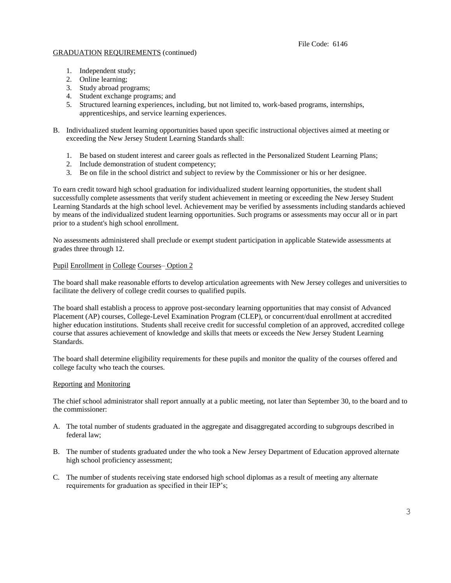- 1. Independent study;
- 2. Online learning;
- 3. Study abroad programs;
- 4. Student exchange programs; and
- 5. Structured learning experiences, including, but not limited to, work-based programs, internships, apprenticeships, and service learning experiences.
- B. Individualized student learning opportunities based upon specific instructional objectives aimed at meeting or exceeding the New Jersey Student Learning Standards shall:
	- 1. Be based on student interest and career goals as reflected in the Personalized Student Learning Plans;
	- 2. Include demonstration of student competency;
	- 3. Be on file in the school district and subject to review by the Commissioner or his or her designee.

To earn credit toward high school graduation for individualized student learning opportunities, the student shall successfully complete assessments that verify student achievement in meeting or exceeding the New Jersey Student Learning Standards at the high school level. Achievement may be verified by assessments including standards achieved by means of the individualized student learning opportunities. Such programs or assessments may occur all or in part prior to a student's high school enrollment.

No assessments administered shall preclude or exempt student participation in applicable Statewide assessments at grades three through 12.

#### Pupil Enrollment in College Courses– Option 2

The board shall make reasonable efforts to develop articulation agreements with New Jersey colleges and universities to facilitate the delivery of college credit courses to qualified pupils.

The board shall establish a process to approve post-secondary learning opportunities that may consist of Advanced Placement (AP) courses, College-Level Examination Program (CLEP), or concurrent/dual enrollment at accredited higher education institutions. Students shall receive credit for successful completion of an approved, accredited college course that assures achievement of knowledge and skills that meets or exceeds the New Jersey Student Learning Standards.

The board shall determine eligibility requirements for these pupils and monitor the quality of the courses offered and college faculty who teach the courses.

#### Reporting and Monitoring

The chief school administrator shall report annually at a public meeting, not later than September 30, to the board and to the commissioner:

- A. The total number of students graduated in the aggregate and disaggregated according to subgroups described in federal law;
- B. The number of students graduated under the who took a New Jersey Department of Education approved alternate high school proficiency assessment;
- C. The number of students receiving state endorsed high school diplomas as a result of meeting any alternate requirements for graduation as specified in their IEP's;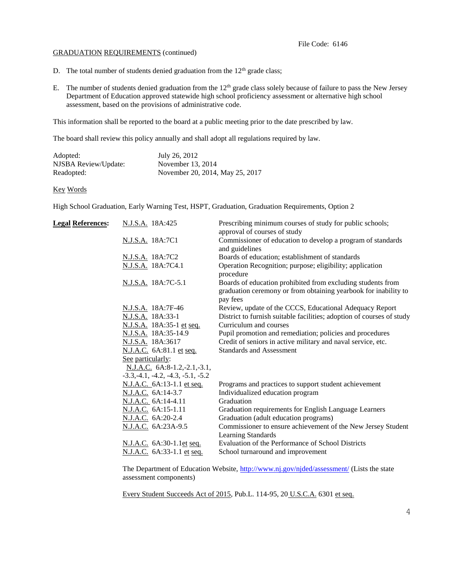- D. The total number of students denied graduation from the  $12<sup>th</sup>$  grade class;
- E. The number of students denied graduation from the 12<sup>th</sup> grade class solely because of failure to pass the New Jersey Department of Education approved statewide high school proficiency assessment or alternative high school assessment, based on the provisions of administrative code.

This information shall be reported to the board at a public meeting prior to the date prescribed by law.

The board shall review this policy annually and shall adopt all regulations required by law.

| Adopted:             | July 26, 2012                   |
|----------------------|---------------------------------|
| NJSBA Review/Update: | November 13, 2014               |
| Readopted:           | November 20, 2014, May 25, 2017 |

#### Key Words

High School Graduation, Early Warning Test, HSPT, Graduation, Graduation Requirements, Option 2

| <b>Legal References:</b> | N.J.S.A. 18A:425                     | Prescribing minimum courses of study for public schools;<br>approval of courses of study                                                   |
|--------------------------|--------------------------------------|--------------------------------------------------------------------------------------------------------------------------------------------|
|                          | N.J.S.A. 18A:7C1                     | Commissioner of education to develop a program of standards<br>and guidelines                                                              |
|                          | N.J.S.A. 18A:7C2                     | Boards of education; establishment of standards                                                                                            |
|                          | N.J.S.A. 18A:7C4.1                   | Operation Recognition; purpose; eligibility; application<br>procedure                                                                      |
|                          | N.J.S.A. 18A:7C-5.1                  | Boards of education prohibited from excluding students from<br>graduation ceremony or from obtaining yearbook for inability to<br>pay fees |
|                          | N.J.S.A. 18A:7F-46                   | Review, update of the CCCS, Educational Adequacy Report                                                                                    |
|                          | N.J.S.A. 18A:33-1                    | District to furnish suitable facilities; adoption of courses of study                                                                      |
|                          | N.J.S.A. 18A:35-1 et seq.            | Curriculum and courses                                                                                                                     |
|                          | N.J.S.A. 18A:35-14.9                 | Pupil promotion and remediation; policies and procedures                                                                                   |
|                          | N.J.S.A. 18A:3617                    | Credit of seniors in active military and naval service, etc.                                                                               |
|                          | N.J.A.C. 6A:81.1 et seq.             | <b>Standards and Assessment</b>                                                                                                            |
|                          | See particularly:                    |                                                                                                                                            |
|                          | $N.J.A.C. 6A:8-1.2,-2.1,-3.1,$       |                                                                                                                                            |
|                          | $-3.3, -4.1, -4.2, -4.3, -5.1, -5.2$ |                                                                                                                                            |
|                          | N.J.A.C. 6A:13-1.1 et seq.           | Programs and practices to support student achievement                                                                                      |
|                          | N.J.A.C. 6A:14-3.7                   | Individualized education program                                                                                                           |
|                          | N.J.A.C. 6A:14-4.11                  | Graduation                                                                                                                                 |
|                          | N.J.A.C. 6A:15-1.11                  | Graduation requirements for English Language Learners                                                                                      |
|                          | N.J.A.C. 6A:20-2.4                   | Graduation (adult education programs)                                                                                                      |
|                          | N.J.A.C. 6A:23A-9.5                  | Commissioner to ensure achievement of the New Jersey Student<br>Learning Standards                                                         |
|                          | N.J.A.C. 6A:30-1.1et seq.            | Evaluation of the Performance of School Districts                                                                                          |
|                          | N.J.A.C. 6A:33-1.1 et seq.           | School turnaround and improvement                                                                                                          |
|                          |                                      |                                                                                                                                            |

The Department of Education Website,<http://www.nj.gov/njded/assessment/> (Lists the state assessment components)

Every Student Succeeds Act of 2015, Pub.L. 114-95, 20 U.S.C.A. 6301 et seq.